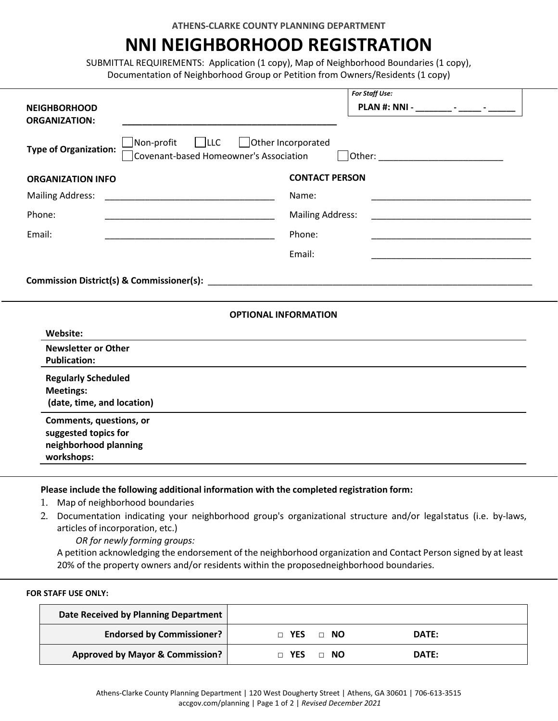# **NNI NEIGHBORHOOD REGISTRATION**

SUBMITTAL REQUIREMENTS: Application (1 copy), Map of Neighborhood Boundaries (1 copy), Documentation of Neighborhood Group or Petition from Owners/Residents (1 copy)

| For Staff Use:                                                                                                                                                                                                                                                                                                                                                |  |  |  |
|---------------------------------------------------------------------------------------------------------------------------------------------------------------------------------------------------------------------------------------------------------------------------------------------------------------------------------------------------------------|--|--|--|
| PLAN #: NNI - ________ - _____ - _____                                                                                                                                                                                                                                                                                                                        |  |  |  |
| Non-profit<br>$ $ $ $ LLC<br>  Other Incorporated<br><b>Type of Organization:</b><br>Covenant-based Homeowner's Association<br>Other: and the contract of the contract of the contract of the contract of the contract of the contract of the contract of the contract of the contract of the contract of the contract of the contract of the contract of the |  |  |  |
| <b>CONTACT PERSON</b>                                                                                                                                                                                                                                                                                                                                         |  |  |  |
| <u> 1960 - Johann John Harry Harry Harry Harry Harry Harry Harry Harry Harry Harry Harry Harry Harry Harry Harry</u>                                                                                                                                                                                                                                          |  |  |  |
| <b>Mailing Address:</b>                                                                                                                                                                                                                                                                                                                                       |  |  |  |
|                                                                                                                                                                                                                                                                                                                                                               |  |  |  |
|                                                                                                                                                                                                                                                                                                                                                               |  |  |  |
| <b>OPTIONAL INFORMATION</b>                                                                                                                                                                                                                                                                                                                                   |  |  |  |
|                                                                                                                                                                                                                                                                                                                                                               |  |  |  |
|                                                                                                                                                                                                                                                                                                                                                               |  |  |  |
|                                                                                                                                                                                                                                                                                                                                                               |  |  |  |
|                                                                                                                                                                                                                                                                                                                                                               |  |  |  |
|                                                                                                                                                                                                                                                                                                                                                               |  |  |  |

**Please include the following additional information with the completed registration form:**

- 1. Map of neighborhood boundaries
- 2. Documentation indicating your neighborhood group's organizational structure and/or legalstatus (i.e. by-laws, articles of incorporation, etc.)

*OR for newly forming groups:*

A petition acknowledging the endorsement of the neighborhood organization and Contact Person signed by at least 20% of the property owners and/or residents within the proposedneighborhood boundaries.

#### **FOR STAFF USE ONLY:**

| Date Received by Planning Department       |                           |       |
|--------------------------------------------|---------------------------|-------|
| <b>Endorsed by Commissioner?</b>           | $\Box$ YES $\Box$ NO      | DATE: |
| <b>Approved by Mayor &amp; Commission?</b> | <b>T</b> YES<br>$\Box$ NO | DATE: |